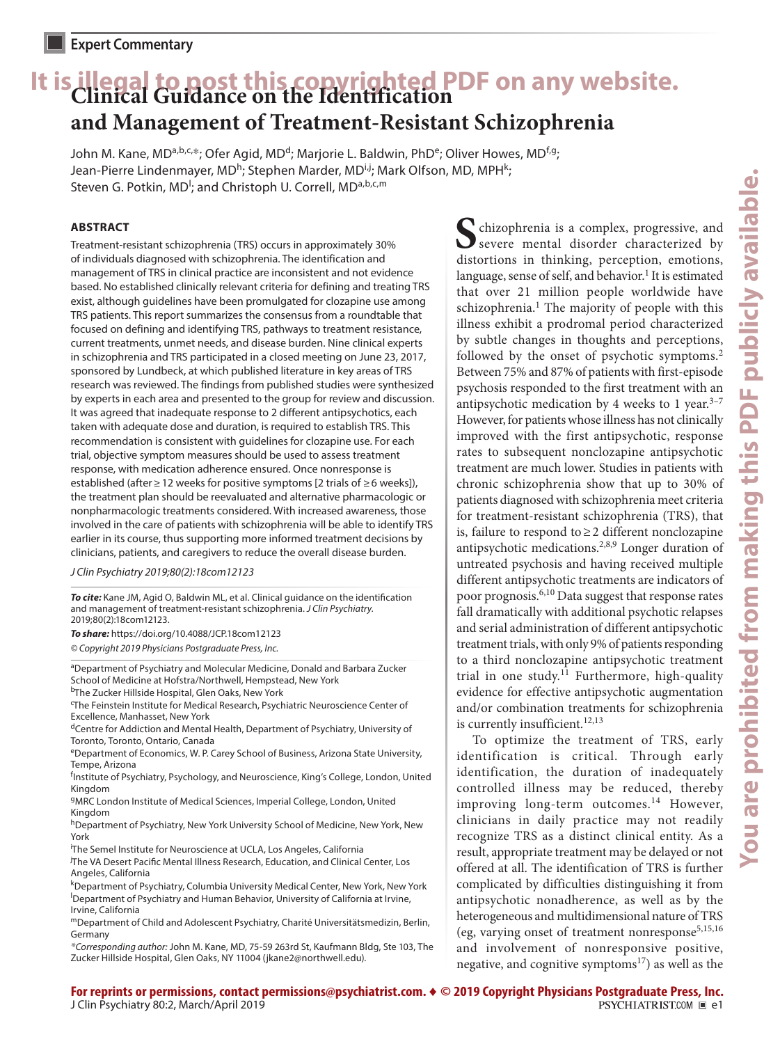# **It is illegal to post this copyrighted PDF on any website. Clinical Guidance on the Identification and Management of Treatment-Resistant Schizophrenia**

John M. Kane, MD<sup>a,b,c,\*</sup>; Ofer Agid, MD<sup>d</sup>; Marjorie L. Baldwin, PhD<sup>e</sup>; Oliver Howes, MD<sup>f,g</sup>; Jean-Pierre Lindenmayer, MD<sup>h</sup>; Stephen Marder, MD<sup>i,j</sup>; Mark Olfson, MD, MPH<sup>k</sup>; Steven G. Potkin, MD<sup>I</sup>; and Christoph U. Correll, MD<sup>a,b,c,m</sup>

## **ABSTRACT**

Treatment-resistant schizophrenia (TRS) occurs in approximately 30% of individuals diagnosed with schizophrenia. The identification and management of TRS in clinical practice are inconsistent and not evidence based. No established clinically relevant criteria for defining and treating TRS exist, although guidelines have been promulgated for clozapine use among TRS patients. This report summarizes the consensus from a roundtable that focused on defining and identifying TRS, pathways to treatment resistance, current treatments, unmet needs, and disease burden. Nine clinical experts in schizophrenia and TRS participated in a closed meeting on June 23, 2017, sponsored by Lundbeck, at which published literature in key areas of TRS research was reviewed. The findings from published studies were synthesized by experts in each area and presented to the group for review and discussion. It was agreed that inadequate response to 2 different antipsychotics, each taken with adequate dose and duration, is required to establish TRS. This recommendation is consistent with guidelines for clozapine use. For each trial, objective symptom measures should be used to assess treatment response, with medication adherence ensured. Once nonresponse is established (after ≥ 12 weeks for positive symptoms [2 trials of ≥6 weeks]), the treatment plan should be reevaluated and alternative pharmacologic or nonpharmacologic treatments considered. With increased awareness, those involved in the care of patients with schizophrenia will be able to identify TRS earlier in its course, thus supporting more informed treatment decisions by clinicians, patients, and caregivers to reduce the overall disease burden.

*J Clin Psychiatry 2019;80(2):18com12123*

*To cite:* Kane JM, Agid O, Baldwin ML, et al. Clinical guidance on the identification and management of treatment-resistant schizophrenia. *J Clin Psychiatry.* 2019;80(2):18com12123.

*To share:* https://doi.org/10.4088/JCP.18com12123 *© Copyright 2019 Physicians Postgraduate Press, Inc.*

aDepartment of Psychiatry and Molecular Medicine, Donald and Barbara Zucker School of Medicine at Hofstra/Northwell, Hempstead, New York bThe Zucker Hillside Hospital, Glen Oaks, New York

<sup>c</sup>The Feinstein Institute for Medical Research, Psychiatric Neuroscience Center of Excellence, Manhasset, New York

dCentre for Addiction and Mental Health, Department of Psychiatry, University of Toronto, Toronto, Ontario, Canada

eDepartment of Economics, W. P. Carey School of Business, Arizona State University, Tempe, Arizona

<sup>f</sup>Institute of Psychiatry, Psychology, and Neuroscience, King's College, London, United Kingdom

gMRC London Institute of Medical Sciences, Imperial College, London, United Kingdom

hDepartment of Psychiatry, New York University School of Medicine, New York, New York

i The Semel Institute for Neuroscience at UCLA, Los Angeles, California

j The VA Desert Pacific Mental Illness Research, Education, and Clinical Center, Los Angeles, California

k Department of Psychiatry, Columbia University Medical Center, New York, New York l Department of Psychiatry and Human Behavior, University of California at Irvine, Irvine, California

mDepartment of Child and Adolescent Psychiatry, Charité Universitätsmedizin, Berlin, Germany

*\*Corresponding author:* John M. Kane, MD, 75-59 263rd St, Kaufmann Bldg, Ste 103, The Zucker Hillside Hospital, Glen Oaks, NY 11004 (jkane2@northwell.edu).

**S**chizophrenia is a complex, progressive, and severe mental disorder characterized by distortions in thinking, perception, emotions, language, sense of self, and behavior.<sup>1</sup> It is estimated that over 21 million people worldwide have schizophrenia.<sup>1</sup> The majority of people with this illness exhibit a prodromal period characterized by subtle changes in thoughts and perceptions, followed by the onset of psychotic symptoms.<sup>2</sup> Between 75% and 87% of patients with first-episode psychosis responded to the first treatment with an antipsychotic medication by 4 weeks to 1 year. $3-7$ However, for patients whose illness has not clinically improved with the first antipsychotic, response rates to subsequent nonclozapine antipsychotic treatment are much lower. Studies in patients with chronic schizophrenia show that up to 30% of patients diagnosed with schizophrenia meet criteria for treatment-resistant schizophrenia (TRS), that is, failure to respond to≥2 different nonclozapine antipsychotic medications.<sup>2,8,9</sup> Longer duration of untreated psychosis and having received multiple different antipsychotic treatments are indicators of poor prognosis.<sup>6,10</sup> Data suggest that response rates fall dramatically with additional psychotic relapses and serial administration of different antipsychotic treatment trials, with only 9% of patients responding to a third nonclozapine antipsychotic treatment trial in one study.<sup>11</sup> Furthermore, high-quality evidence for effective antipsychotic augmentation and/or combination treatments for schizophrenia is currently insufficient.<sup>12,13</sup>

To optimize the treatment of TRS, early identification is critical. Through early identification, the duration of inadequately controlled illness may be reduced, thereby improving long-term outcomes.<sup>14</sup> However, clinicians in daily practice may not readily recognize TRS as a distinct clinical entity. As a result, appropriate treatment may be delayed or not offered at all. The identification of TRS is further complicated by difficulties distinguishing it from antipsychotic nonadherence, as well as by the heterogeneous and multidimensional nature of TRS (eg, varying onset of treatment nonresponse<sup>5,15,16</sup> and involvement of nonresponsive positive, negative, and cognitive symptoms<sup>17</sup>) as well as the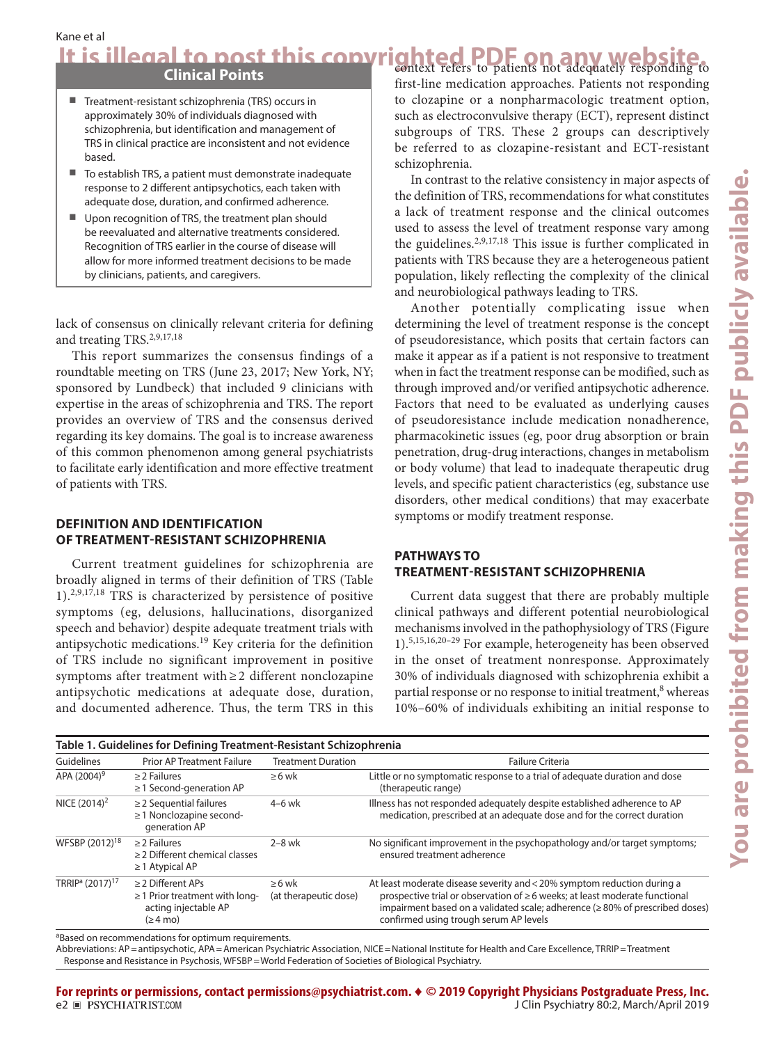Kane et al

It is illegal to post this copyrighted PDF on any website.

# **Clinical Points**

- Treatment-resistant schizophrenia (TRS) occurs in approximately 30% of individuals diagnosed with schizophrenia, but identification and management of TRS in clinical practice are inconsistent and not evidence based.
- To establish TRS, a patient must demonstrate inadequate response to 2 different antipsychotics, each taken with adequate dose, duration, and confirmed adherence.
- Upon recognition of TRS, the treatment plan should be reevaluated and alternative treatments considered. Recognition of TRS earlier in the course of disease will allow for more informed treatment decisions to be made by clinicians, patients, and caregivers.

lack of consensus on clinically relevant criteria for defining and treating TRS.2,9,17,18

This report summarizes the consensus findings of a roundtable meeting on TRS (June 23, 2017; New York, NY; sponsored by Lundbeck) that included 9 clinicians with expertise in the areas of schizophrenia and TRS. The report provides an overview of TRS and the consensus derived regarding its key domains. The goal is to increase awareness of this common phenomenon among general psychiatrists to facilitate early identification and more effective treatment of patients with TRS.

## **DEFINITION AND IDENTIFICATION OF TREATMENT-RESISTANT SCHIZOPHRENIA**

Current treatment guidelines for schizophrenia are broadly aligned in terms of their definition of TRS (Table 1).2,9,17,18 TRS is characterized by persistence of positive symptoms (eg, delusions, hallucinations, disorganized speech and behavior) despite adequate treatment trials with antipsychotic medications.19 Key criteria for the definition of TRS include no significant improvement in positive symptoms after treatment with≥2 different nonclozapine antipsychotic medications at adequate dose, duration, and documented adherence. Thus, the term TRS in this first-line medication approaches. Patients not responding to clozapine or a nonpharmacologic treatment option, such as electroconvulsive therapy (ECT), represent distinct subgroups of TRS. These 2 groups can descriptively be referred to as clozapine-resistant and ECT-resistant schizophrenia.

In contrast to the relative consistency in major aspects of the definition of TRS, recommendations for what constitutes a lack of treatment response and the clinical outcomes used to assess the level of treatment response vary among the guidelines.<sup>2,9,17,18</sup> This issue is further complicated in patients with TRS because they are a heterogeneous patient population, likely reflecting the complexity of the clinical and neurobiological pathways leading to TRS.

Another potentially complicating issue when determining the level of treatment response is the concept of pseudoresistance, which posits that certain factors can make it appear as if a patient is not responsive to treatment when in fact the treatment response can be modified, such as through improved and/or verified antipsychotic adherence. Factors that need to be evaluated as underlying causes of pseudoresistance include medication nonadherence, pharmacokinetic issues (eg, poor drug absorption or brain penetration, drug-drug interactions, changes in metabolism or body volume) that lead to inadequate therapeutic drug levels, and specific patient characteristics (eg, substance use disorders, other medical conditions) that may exacerbate symptoms or modify treatment response.

# **PATHWAYS TO TREATMENT-RESISTANT SCHIZOPHRENIA**

Current data suggest that there are probably multiple clinical pathways and different potential neurobiological mechanisms involved in the pathophysiology of TRS (Figure 1).5,15,16,20–29 For example, heterogeneity has been observed in the onset of treatment nonresponse. Approximately 30% of individuals diagnosed with schizophrenia exhibit a partial response or no response to initial treatment,<sup>8</sup> whereas 10%–60% of individuals exhibiting an initial response to

| Table 1. Guidelines for Defining Treatment-Resistant Schizophrenia |                                                                                                              |                                      |                                                                                                                                                                                                                                                                                |  |  |
|--------------------------------------------------------------------|--------------------------------------------------------------------------------------------------------------|--------------------------------------|--------------------------------------------------------------------------------------------------------------------------------------------------------------------------------------------------------------------------------------------------------------------------------|--|--|
| Guidelines                                                         | <b>Prior AP Treatment Failure</b>                                                                            | <b>Treatment Duration</b>            | Failure Criteria                                                                                                                                                                                                                                                               |  |  |
| APA (2004) <sup>9</sup>                                            | $\geq$ 2 Failures<br>$\geq$ 1 Second-generation AP                                                           | $\geq 6$ wk                          | Little or no symptomatic response to a trial of adequate duration and dose<br>(therapeutic range)                                                                                                                                                                              |  |  |
| NICE $(2014)^2$                                                    | $\geq$ 2 Sequential failures<br>≥1 Nonclozapine second-<br>generation AP                                     | $4-6$ wk                             | Illness has not responded adequately despite established adherence to AP<br>medication, prescribed at an adequate dose and for the correct duration                                                                                                                            |  |  |
| WFSBP (2012) <sup>18</sup>                                         | $\geq$ 2 Failures<br>$\geq$ 2 Different chemical classes<br>$\geq$ 1 Atypical AP                             | $2-8$ wk                             | No significant improvement in the psychopathology and/or target symptoms;<br>ensured treatment adherence                                                                                                                                                                       |  |  |
| TRRIP <sup>a</sup> (2017) <sup>17</sup>                            | $\geq$ 2 Different APs<br>$\geq$ 1 Prior treatment with long-<br>acting injectable AP<br>$(ge 4 \text{ mo})$ | $\geq 6$ wk<br>(at therapeutic dose) | At least moderate disease severity and < 20% symptom reduction during a<br>prospective trial or observation of ≥6 weeks; at least moderate functional<br>impairment based on a validated scale; adherence (≥80% of prescribed doses)<br>confirmed using trough serum AP levels |  |  |

<sup>a</sup>Based on recommendations for optimum requirements.

Abbreviations: AP=antipsychotic, APA=American Psychiatric Association, NICE=National Institute for Health and Care Excellence, TRRIP=Treatment Response and Resistance in Psychosis, WFSBP=World Federation of Societies of Biological Psychiatry.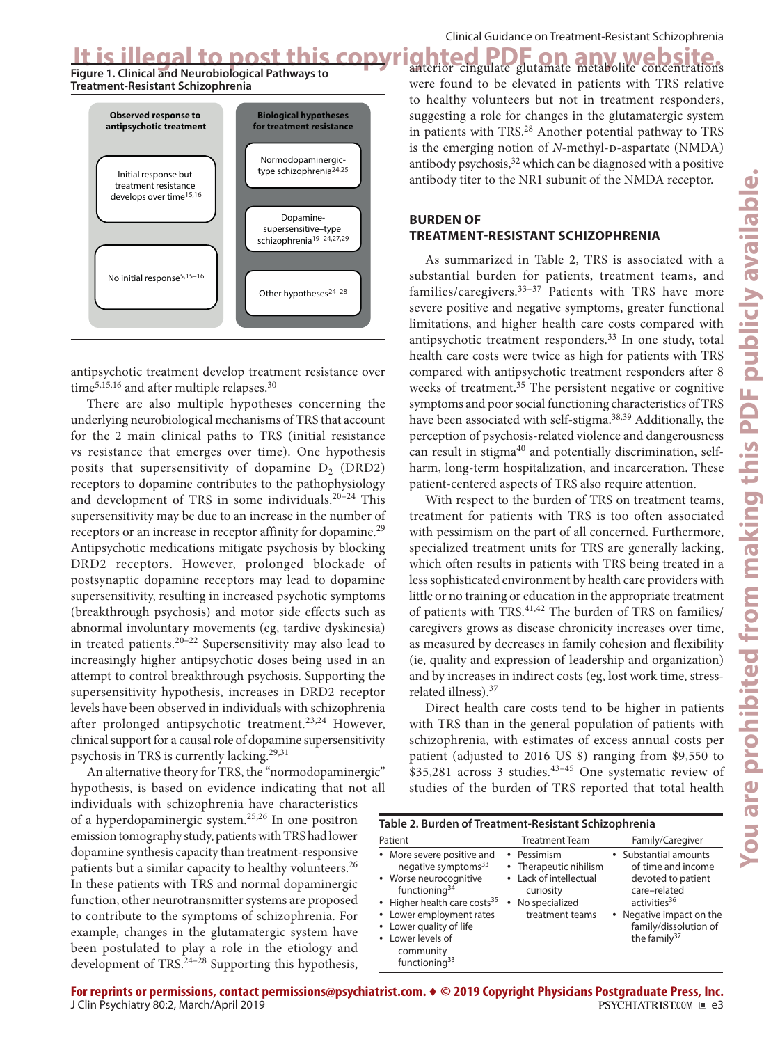**Figure 1. Clinical and Neurobiological Pathways to Treatment-Resistant Schizophrenia**



antipsychotic treatment develop treatment resistance over time<sup>5,15,16</sup> and after multiple relapses.<sup>30</sup>

There are also multiple hypotheses concerning the underlying neurobiological mechanisms of TRS that account for the 2 main clinical paths to TRS (initial resistance vs resistance that emerges over time). One hypothesis posits that supersensitivity of dopamine  $D_2$  (DRD2) receptors to dopamine contributes to the pathophysiology and development of TRS in some individuals.20–24 This supersensitivity may be due to an increase in the number of receptors or an increase in receptor affinity for dopamine.<sup>29</sup> Antipsychotic medications mitigate psychosis by blocking DRD2 receptors. However, prolonged blockade of postsynaptic dopamine receptors may lead to dopamine supersensitivity, resulting in increased psychotic symptoms (breakthrough psychosis) and motor side effects such as abnormal involuntary movements (eg, tardive dyskinesia) in treated patients.<sup>20–22</sup> Supersensitivity may also lead to increasingly higher antipsychotic doses being used in an attempt to control breakthrough psychosis. Supporting the supersensitivity hypothesis, increases in DRD2 receptor levels have been observed in individuals with schizophrenia after prolonged antipsychotic treatment.<sup>23,24</sup> However, clinical support for a causal role of dopamine supersensitivity psychosis in TRS is currently lacking.29,31

An alternative theory for TRS, the "normodopaminergic" hypothesis, is based on evidence indicating that not all individuals with schizophrenia have characteristics of a hyperdopaminergic system.25,26 In one positron emission tomography study, patients with TRS had lower dopamine synthesis capacity than treatment-responsive patients but a similar capacity to healthy volunteers.<sup>26</sup> In these patients with TRS and normal dopaminergic function, other neurotransmitter systems are proposed to contribute to the symptoms of schizophrenia. For example, changes in the glutamatergic system have been postulated to play a role in the etiology and development of TRS.24–28 Supporting this hypothesis,

It is illegal to post this copyrighted PDF on any website. were found to be elevated in patients with TRS relative to healthy volunteers but not in treatment responders, suggesting a role for changes in the glutamatergic system in patients with TRS.<sup>28</sup> Another potential pathway to TRS is the emerging notion of *N*-methyl-p-aspartate (NMDA) antibody psychosis, $32$  which can be diagnosed with a positive antibody titer to the NR1 subunit of the NMDA receptor.

## **BURDEN OF TREATMENT-RESISTANT SCHIZOPHRENIA**

As summarized in Table 2, TRS is associated with a substantial burden for patients, treatment teams, and families/caregivers.<sup>33–37</sup> Patients with TRS have more severe positive and negative symptoms, greater functional limitations, and higher health care costs compared with antipsychotic treatment responders.<sup>33</sup> In one study, total health care costs were twice as high for patients with TRS compared with antipsychotic treatment responders after 8 weeks of treatment.<sup>35</sup> The persistent negative or cognitive symptoms and poor social functioning characteristics of TRS have been associated with self-stigma.<sup>38,39</sup> Additionally, the perception of psychosis-related violence and dangerousness can result in stigma<sup>40</sup> and potentially discrimination, selfharm, long-term hospitalization, and incarceration. These patient-centered aspects of TRS also require attention.

With respect to the burden of TRS on treatment teams, treatment for patients with TRS is too often associated with pessimism on the part of all concerned. Furthermore, specialized treatment units for TRS are generally lacking, which often results in patients with TRS being treated in a less sophisticated environment by health care providers with little or no training or education in the appropriate treatment of patients with TRS.<sup>41,42</sup> The burden of TRS on families/ caregivers grows as disease chronicity increases over time, as measured by decreases in family cohesion and flexibility (ie, quality and expression of leadership and organization) and by increases in indirect costs (eg, lost work time, stressrelated illness).37

Direct health care costs tend to be higher in patients with TRS than in the general population of patients with schizophrenia, with estimates of excess annual costs per patient (adjusted to 2016 US \$) ranging from \$9,550 to  $$35,281$  across 3 studies.<sup>43-45</sup> One systematic review of studies of the burden of TRS reported that total health

| Table 2. Burden of Treatment-Resistant Schizophrenia                                                                                                                                                                                                               |                                                                                                                        |                                                                                                                                                                                       |  |  |  |  |
|--------------------------------------------------------------------------------------------------------------------------------------------------------------------------------------------------------------------------------------------------------------------|------------------------------------------------------------------------------------------------------------------------|---------------------------------------------------------------------------------------------------------------------------------------------------------------------------------------|--|--|--|--|
| Patient                                                                                                                                                                                                                                                            | <b>Treatment Team</b>                                                                                                  | Family/Caregiver                                                                                                                                                                      |  |  |  |  |
| • More severe positive and<br>negative symptoms <sup>33</sup><br>• Worse neurocognitive<br>functioning $34$<br>• Higher health care costs <sup>35</sup><br>• Lower employment rates<br>• Lower quality of life<br>Lower levels of<br>community<br>functioning $33$ | • Pessimism<br>• Therapeutic nihilism<br>• Lack of intellectual<br>curiosity<br>No specialized<br>٠<br>treatment teams | • Substantial amounts<br>of time and income<br>devoted to patient<br>care-related<br>activities <sup>36</sup><br>• Negative impact on the<br>family/dissolution of<br>the family $37$ |  |  |  |  |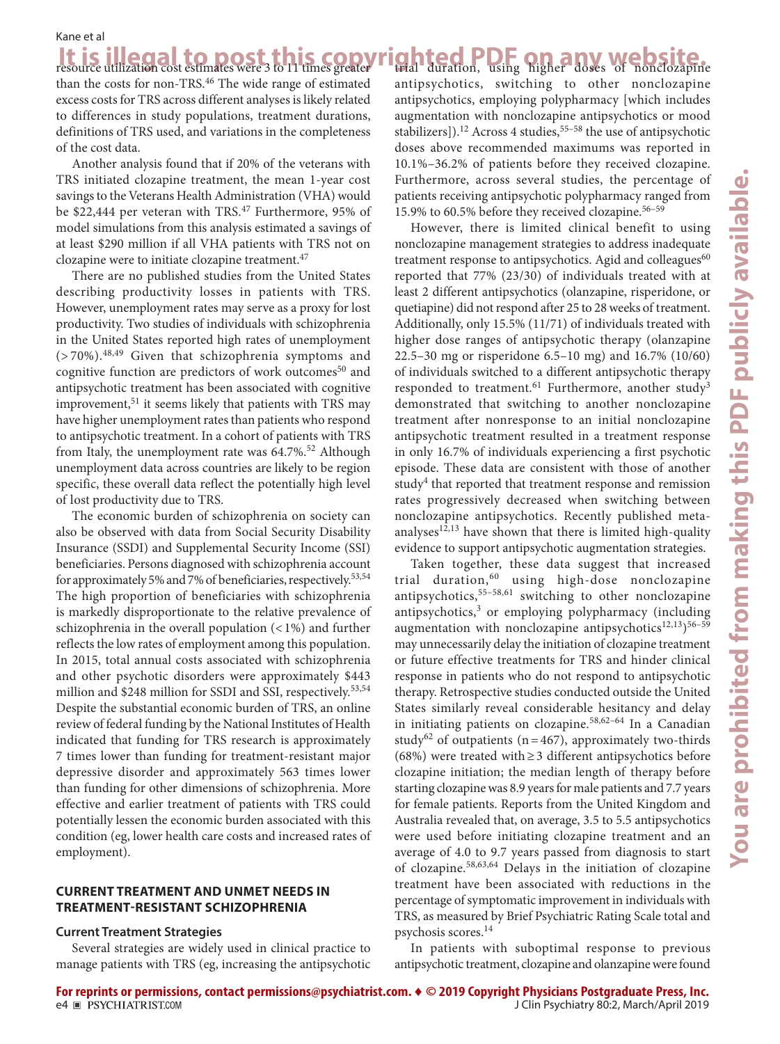It is illegal to post this copyrighted PDF on any website. than the costs for non-TRS.<sup>46</sup> The wide range of estimated excess costs for TRS across different analyses is likely related to differences in study populations, treatment durations, definitions of TRS used, and variations in the completeness of the cost data.

Another analysis found that if 20% of the veterans with TRS initiated clozapine treatment, the mean 1-year cost savings to the Veterans Health Administration (VHA) would be \$22,444 per veteran with TRS.<sup>47</sup> Furthermore, 95% of model simulations from this analysis estimated a savings of at least \$290 million if all VHA patients with TRS not on clozapine were to initiate clozapine treatment.<sup>47</sup>

There are no published studies from the United States describing productivity losses in patients with TRS. However, unemployment rates may serve as a proxy for lost productivity. Two studies of individuals with schizophrenia in the United States reported high rates of unemployment  $($ >70%).<sup>48,49</sup> Given that schizophrenia symptoms and cognitive function are predictors of work outcomes $50$  and antipsychotic treatment has been associated with cognitive improvement,  $51$  it seems likely that patients with TRS may have higher unemployment rates than patients who respond to antipsychotic treatment. In a cohort of patients with TRS from Italy, the unemployment rate was  $64.7\%$ .<sup>52</sup> Although unemployment data across countries are likely to be region specific, these overall data reflect the potentially high level of lost productivity due to TRS.

The economic burden of schizophrenia on society can also be observed with data from Social Security Disability Insurance (SSDI) and Supplemental Security Income (SSI) beneficiaries. Persons diagnosed with schizophrenia account for approximately 5% and 7% of beneficiaries, respectively.<sup>53,54</sup> The high proportion of beneficiaries with schizophrenia is markedly disproportionate to the relative prevalence of schizophrenia in the overall population (<1%) and further reflects the low rates of employment among this population. In 2015, total annual costs associated with schizophrenia and other psychotic disorders were approximately \$443 million and \$248 million for SSDI and SSI, respectively.<sup>53,54</sup> Despite the substantial economic burden of TRS, an online review of federal funding by the National Institutes of Health indicated that funding for TRS research is approximately 7 times lower than funding for treatment-resistant major depressive disorder and approximately 563 times lower than funding for other dimensions of schizophrenia. More effective and earlier treatment of patients with TRS could potentially lessen the economic burden associated with this condition (eg, lower health care costs and increased rates of employment).

## **CURRENT TREATMENT AND UNMET NEEDS IN TREATMENT-RESISTANT SCHIZOPHRENIA**

#### **Current Treatment Strategies**

Several strategies are widely used in clinical practice to manage patients with TRS (eg, increasing the antipsychotic ghted PDF on any website. antipsychotics, switching to other nonclozapine antipsychotics, employing polypharmacy [which includes augmentation with nonclozapine antipsychotics or mood stabilizers]).<sup>12</sup> Across 4 studies,<sup>55-58</sup> the use of antipsychotic doses above recommended maximums was reported in 10.1%–36.2% of patients before they received clozapine. Furthermore, across several studies, the percentage of patients receiving antipsychotic polypharmacy ranged from 15.9% to 60.5% before they received clozapine.56–59

However, there is limited clinical benefit to using nonclozapine management strategies to address inadequate treatment response to antipsychotics. Agid and colleagues<sup>60</sup> reported that 77% (23/30) of individuals treated with at least 2 different antipsychotics (olanzapine, risperidone, or quetiapine) did not respond after 25 to 28 weeks of treatment. Additionally, only 15.5% (11/71) of individuals treated with higher dose ranges of antipsychotic therapy (olanzapine 22.5–30 mg or risperidone 6.5–10 mg) and 16.7% (10/60) of individuals switched to a different antipsychotic therapy responded to treatment.<sup>61</sup> Furthermore, another study<sup>3</sup> demonstrated that switching to another nonclozapine treatment after nonresponse to an initial nonclozapine antipsychotic treatment resulted in a treatment response in only 16.7% of individuals experiencing a first psychotic episode. These data are consistent with those of another study<sup>4</sup> that reported that treatment response and remission rates progressively decreased when switching between nonclozapine antipsychotics. Recently published metaanalyses $12,13$  have shown that there is limited high-quality evidence to support antipsychotic augmentation strategies.

Taken together, these data suggest that increased trial duration,60 using high-dose nonclozapine antipsychotics,55–58,61 switching to other nonclozapine antipsychotics,<sup>3</sup> or employing polypharmacy (including augmentation with nonclozapine antipsychotics<sup>12,13</sup>)<sup>56–59</sup> may unnecessarily delay the initiation of clozapine treatment or future effective treatments for TRS and hinder clinical response in patients who do not respond to antipsychotic therapy. Retrospective studies conducted outside the United States similarly reveal considerable hesitancy and delay in initiating patients on clozapine.<sup>58,62-64</sup> In a Canadian study<sup>62</sup> of outpatients ( $n=467$ ), approximately two-thirds (68%) were treated with≥3 different antipsychotics before clozapine initiation; the median length of therapy before starting clozapine was 8.9 years for male patients and 7.7 years for female patients. Reports from the United Kingdom and Australia revealed that, on average, 3.5 to 5.5 antipsychotics were used before initiating clozapine treatment and an average of 4.0 to 9.7 years passed from diagnosis to start of clozapine.58,63,64 Delays in the initiation of clozapine treatment have been associated with reductions in the percentage of symptomatic improvement in individuals with TRS, as measured by Brief Psychiatric Rating Scale total and psychosis scores.<sup>14</sup>

In patients with suboptimal response to previous antipsychotic treatment, clozapine and olanzapine were found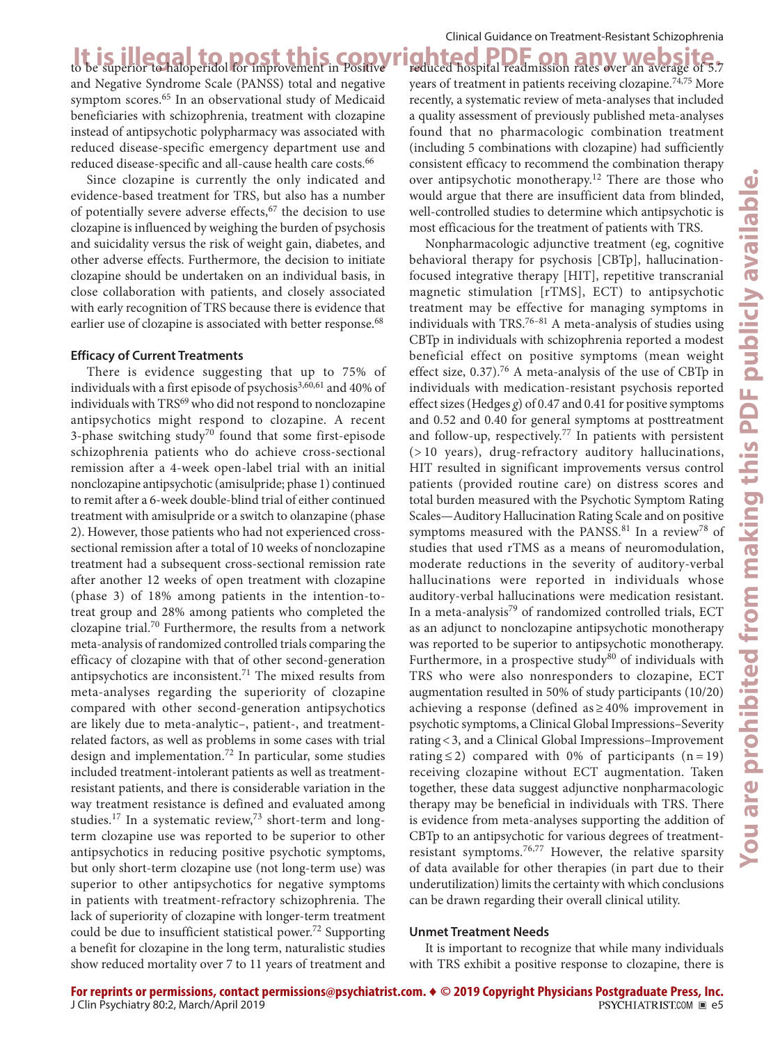and Negative Syndrome Scale (PANSS) total and negative symptom scores.65 In an observational study of Medicaid beneficiaries with schizophrenia, treatment with clozapine instead of antipsychotic polypharmacy was associated with reduced disease-specific emergency department use and reduced disease-specific and all-cause health care costs.<sup>66</sup>

Since clozapine is currently the only indicated and evidence-based treatment for TRS, but also has a number of potentially severe adverse effects, $67$  the decision to use clozapine is influenced by weighing the burden of psychosis and suicidality versus the risk of weight gain, diabetes, and other adverse effects. Furthermore, the decision to initiate clozapine should be undertaken on an individual basis, in close collaboration with patients, and closely associated with early recognition of TRS because there is evidence that earlier use of clozapine is associated with better response.<sup>68</sup>

#### **Efficacy of Current Treatments**

There is evidence suggesting that up to 75% of individuals with a first episode of psychosis<sup>3,60,61</sup> and 40% of individuals with TRS<sup>69</sup> who did not respond to nonclozapine antipsychotics might respond to clozapine. A recent 3-phase switching study<sup>70</sup> found that some first-episode schizophrenia patients who do achieve cross-sectional remission after a 4-week open-label trial with an initial nonclozapine antipsychotic (amisulpride; phase 1) continued to remit after a 6-week double-blind trial of either continued treatment with amisulpride or a switch to olanzapine (phase 2). However, those patients who had not experienced crosssectional remission after a total of 10 weeks of nonclozapine treatment had a subsequent cross-sectional remission rate after another 12 weeks of open treatment with clozapine (phase 3) of 18% among patients in the intention-totreat group and 28% among patients who completed the clozapine trial.<sup>70</sup> Furthermore, the results from a network meta-analysis of randomized controlled trials comparing the efficacy of clozapine with that of other second-generation antipsychotics are inconsistent.<sup>71</sup> The mixed results from meta-analyses regarding the superiority of clozapine compared with other second-generation antipsychotics are likely due to meta-analytic–, patient-, and treatmentrelated factors, as well as problems in some cases with trial design and implementation.<sup>72</sup> In particular, some studies included treatment-intolerant patients as well as treatmentresistant patients, and there is considerable variation in the way treatment resistance is defined and evaluated among studies.<sup>17</sup> In a systematic review, $73$  short-term and longterm clozapine use was reported to be superior to other antipsychotics in reducing positive psychotic symptoms, but only short-term clozapine use (not long-term use) was superior to other antipsychotics for negative symptoms in patients with treatment-refractory schizophrenia. The lack of superiority of clozapine with longer-term treatment could be due to insufficient statistical power.<sup>72</sup> Supporting a benefit for clozapine in the long term, naturalistic studies show reduced mortality over 7 to 11 years of treatment and

It is illegal to post this copyrighted PDF on any website. reduced hospital readmission rates over an average of 5.7 years of treatment in patients receiving clozapine.<sup>74,75</sup> More recently, a systematic review of meta-analyses that included a quality assessment of previously published meta-analyses found that no pharmacologic combination treatment (including 5 combinations with clozapine) had sufficiently consistent efficacy to recommend the combination therapy over antipsychotic monotherapy.<sup>12</sup> There are those who would argue that there are insufficient data from blinded, well-controlled studies to determine which antipsychotic is most efficacious for the treatment of patients with TRS.

> Nonpharmacologic adjunctive treatment (eg, cognitive behavioral therapy for psychosis [CBTp], hallucinationfocused integrative therapy [HIT], repetitive transcranial magnetic stimulation [rTMS], ECT) to antipsychotic treatment may be effective for managing symptoms in individuals with TRS.<sup>76–81</sup> A meta-analysis of studies using CBTp in individuals with schizophrenia reported a modest beneficial effect on positive symptoms (mean weight effect size, 0.37).<sup>76</sup> A meta-analysis of the use of CBTp in individuals with medication-resistant psychosis reported effect sizes (Hedges *g*) of 0.47 and 0.41 for positive symptoms and 0.52 and 0.40 for general symptoms at posttreatment and follow-up, respectively.77 In patients with persistent (> 10 years), drug-refractory auditory hallucinations, HIT resulted in significant improvements versus control patients (provided routine care) on distress scores and total burden measured with the Psychotic Symptom Rating Scales—Auditory Hallucination Rating Scale and on positive symptoms measured with the PANSS.<sup>81</sup> In a review<sup>78</sup> of studies that used rTMS as a means of neuromodulation, moderate reductions in the severity of auditory-verbal hallucinations were reported in individuals whose auditory-verbal hallucinations were medication resistant. In a meta-analysis<sup>79</sup> of randomized controlled trials, ECT as an adjunct to nonclozapine antipsychotic monotherapy was reported to be superior to antipsychotic monotherapy. Furthermore, in a prospective study $80$  of individuals with TRS who were also nonresponders to clozapine, ECT augmentation resulted in 50% of study participants (10/20) achieving a response (defined as  $\geq 40\%$  improvement in psychotic symptoms, a Clinical Global Impressions–Severity rating<3, and a Clinical Global Impressions–Improvement rating  $\leq$  2) compared with 0% of participants (n = 19) receiving clozapine without ECT augmentation. Taken together, these data suggest adjunctive nonpharmacologic therapy may be beneficial in individuals with TRS. There is evidence from meta-analyses supporting the addition of CBTp to an antipsychotic for various degrees of treatmentresistant symptoms.76,77 However, the relative sparsity of data available for other therapies (in part due to their underutilization) limits the certainty with which conclusions can be drawn regarding their overall clinical utility.

#### **Unmet Treatment Needs**

It is important to recognize that while many individuals with TRS exhibit a positive response to clozapine, there is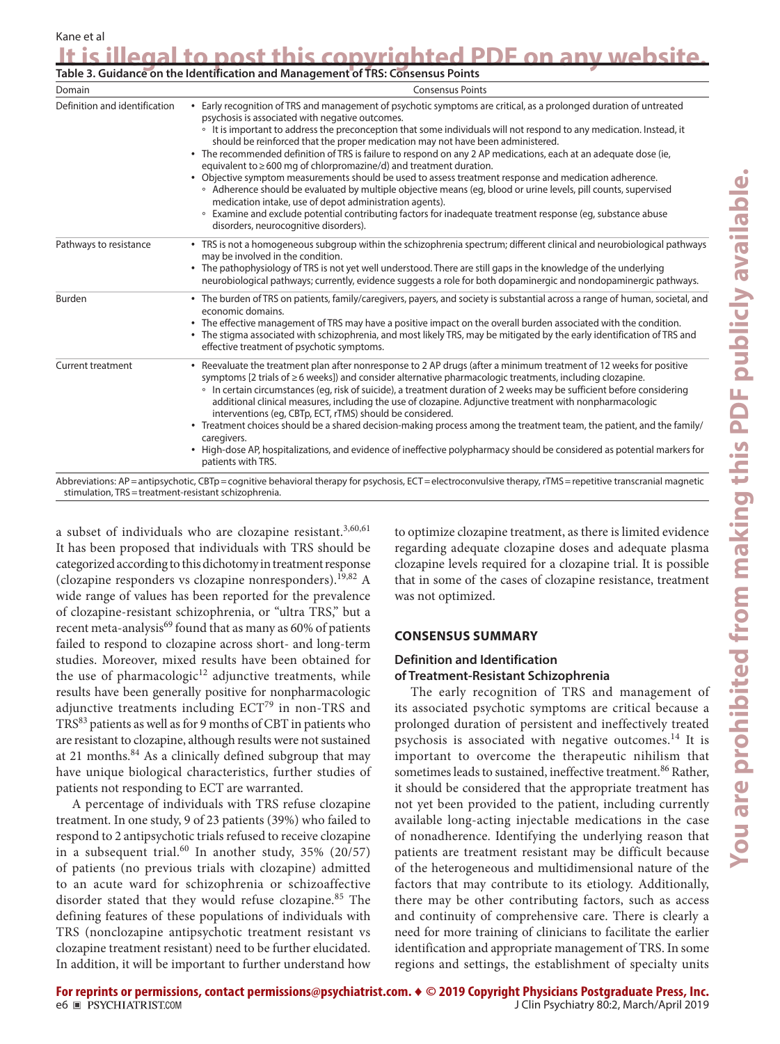| Domain                        | <b>Consensus Points</b>                                                                                                                                                                                                                                                                                                                                                                                                                                                                                                                                                                                                                                                                                                                                                                                                                                                                                                                                                                                                               |  |  |
|-------------------------------|---------------------------------------------------------------------------------------------------------------------------------------------------------------------------------------------------------------------------------------------------------------------------------------------------------------------------------------------------------------------------------------------------------------------------------------------------------------------------------------------------------------------------------------------------------------------------------------------------------------------------------------------------------------------------------------------------------------------------------------------------------------------------------------------------------------------------------------------------------------------------------------------------------------------------------------------------------------------------------------------------------------------------------------|--|--|
| Definition and identification | • Early recognition of TRS and management of psychotic symptoms are critical, as a prolonged duration of untreated<br>psychosis is associated with negative outcomes.<br><sup>o</sup> It is important to address the preconception that some individuals will not respond to any medication. Instead, it<br>should be reinforced that the proper medication may not have been administered.<br>• The recommended definition of TRS is failure to respond on any 2 AP medications, each at an adequate dose (ie,<br>equivalent to ≥600 mg of chlorpromazine/d) and treatment duration.<br>• Objective symptom measurements should be used to assess treatment response and medication adherence.<br>• Adherence should be evaluated by multiple objective means (eq, blood or urine levels, pill counts, supervised<br>medication intake, use of depot administration agents).<br>• Examine and exclude potential contributing factors for inadequate treatment response (eq, substance abuse<br>disorders, neurocognitive disorders). |  |  |
| Pathways to resistance        | • TRS is not a homogeneous subgroup within the schizophrenia spectrum; different clinical and neurobiological pathways<br>may be involved in the condition.<br>• The pathophysiology of TRS is not yet well understood. There are still gaps in the knowledge of the underlying<br>neurobiological pathways; currently, evidence suggests a role for both dopaminergic and nondopaminergic pathways.                                                                                                                                                                                                                                                                                                                                                                                                                                                                                                                                                                                                                                  |  |  |
| Burden                        | • The burden of TRS on patients, family/caregivers, payers, and society is substantial across a range of human, societal, and<br>economic domains.<br>• The effective management of TRS may have a positive impact on the overall burden associated with the condition.<br>• The stigma associated with schizophrenia, and most likely TRS, may be mitigated by the early identification of TRS and<br>effective treatment of psychotic symptoms.                                                                                                                                                                                                                                                                                                                                                                                                                                                                                                                                                                                     |  |  |
| <b>Current treatment</b>      | • Reevaluate the treatment plan after nonresponse to 2 AP drugs (after a minimum treatment of 12 weeks for positive<br>symptoms [2 trials of ≥6 weeks]) and consider alternative pharmacologic treatments, including clozapine.<br>• In certain circumstances (eq, risk of suicide), a treatment duration of 2 weeks may be sufficient before considering<br>additional clinical measures, including the use of clozapine. Adjunctive treatment with nonpharmacologic<br>interventions (eq, CBTp, ECT, rTMS) should be considered.<br>• Treatment choices should be a shared decision-making process among the treatment team, the patient, and the family/<br>caregivers.<br>• High-dose AP, hospitalizations, and evidence of ineffective polypharmacy should be considered as potential markers for<br>patients with TRS.                                                                                                                                                                                                          |  |  |

**It is illegal to post this copyrighted PDF on any website.**

Abbreviations: AP=antipsychotic, CBTp=cognitive behavioral therapy for psychosis, ECT=electroconvulsive therapy, rTMS=repetitive transcranial magnetic stimulation, TRS=treatment-resistant schizophrenia.

a subset of individuals who are clozapine resistant.<sup>3,60,61</sup> It has been proposed that individuals with TRS should be categorized according to this dichotomy in treatment response (clozapine responders vs clozapine nonresponders).<sup>19,82</sup> A wide range of values has been reported for the prevalence of clozapine-resistant schizophrenia, or "ultra TRS," but a recent meta-analysis $^{69}$  found that as many as 60% of patients failed to respond to clozapine across short- and long-term studies. Moreover, mixed results have been obtained for the use of pharmacologic $12$  adjunctive treatments, while results have been generally positive for nonpharmacologic adjunctive treatments including  $ECT^{79}$  in non-TRS and TRS83 patients as well as for 9 months of CBT in patients who are resistant to clozapine, although results were not sustained at 21 months. $84$  As a clinically defined subgroup that may have unique biological characteristics, further studies of patients not responding to ECT are warranted.

A percentage of individuals with TRS refuse clozapine treatment. In one study, 9 of 23 patients (39%) who failed to respond to 2 antipsychotic trials refused to receive clozapine in a subsequent trial.<sup>60</sup> In another study,  $35\%$  (20/57) of patients (no previous trials with clozapine) admitted to an acute ward for schizophrenia or schizoaffective disorder stated that they would refuse clozapine.<sup>85</sup> The defining features of these populations of individuals with TRS (nonclozapine antipsychotic treatment resistant vs clozapine treatment resistant) need to be further elucidated. In addition, it will be important to further understand how

to optimize clozapine treatment, as there is limited evidence regarding adequate clozapine doses and adequate plasma clozapine levels required for a clozapine trial. It is possible that in some of the cases of clozapine resistance, treatment was not optimized.

#### **CONSENSUS SUMMARY**

## **Definition and Identification of Treatment-Resistant Schizophrenia**

The early recognition of TRS and management of its associated psychotic symptoms are critical because a prolonged duration of persistent and ineffectively treated psychosis is associated with negative outcomes.<sup>14</sup> It is important to overcome the therapeutic nihilism that sometimes leads to sustained, ineffective treatment.<sup>86</sup> Rather, it should be considered that the appropriate treatment has not yet been provided to the patient, including currently available long-acting injectable medications in the case of nonadherence. Identifying the underlying reason that patients are treatment resistant may be difficult because of the heterogeneous and multidimensional nature of the factors that may contribute to its etiology. Additionally, there may be other contributing factors, such as access and continuity of comprehensive care. There is clearly a need for more training of clinicians to facilitate the earlier identification and appropriate management of TRS. In some regions and settings, the establishment of specialty units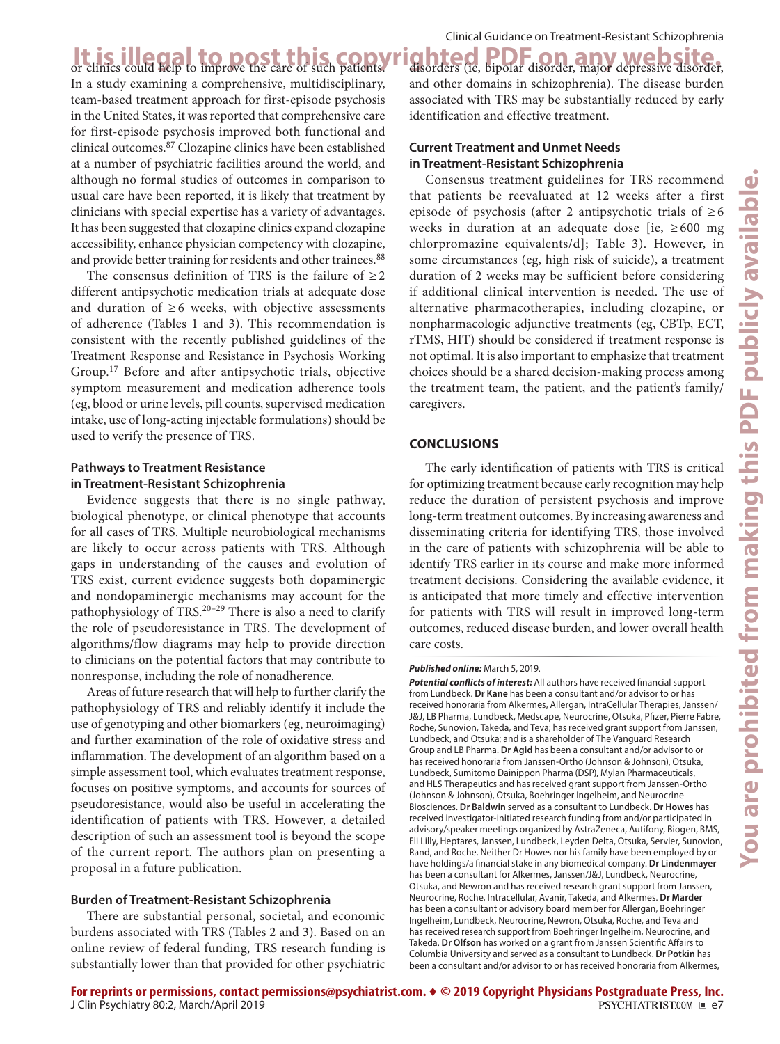It is illegal to post this copyrighted PDF on any website.<br>Or clinics could help to improve the care of such patients. Hisorders (ie, bipolar disorder, major depressive disorder In a study examining a comprehensive, multidisciplinary, team-based treatment approach for first-episode psychosis in the United States, it was reported that comprehensive care for first-episode psychosis improved both functional and clinical outcomes.87 Clozapine clinics have been established at a number of psychiatric facilities around the world, and although no formal studies of outcomes in comparison to usual care have been reported, it is likely that treatment by clinicians with special expertise has a variety of advantages. It has been suggested that clozapine clinics expand clozapine accessibility, enhance physician competency with clozapine, and provide better training for residents and other trainees.<sup>88</sup>

The consensus definition of TRS is the failure of  $\geq 2$ different antipsychotic medication trials at adequate dose and duration of  $\geq 6$  weeks, with objective assessments of adherence (Tables 1 and 3). This recommendation is consistent with the recently published guidelines of the Treatment Response and Resistance in Psychosis Working Group.17 Before and after antipsychotic trials, objective symptom measurement and medication adherence tools (eg, blood or urine levels, pill counts, supervised medication intake, use of long-acting injectable formulations) should be used to verify the presence of TRS.

#### **Pathways to Treatment Resistance in Treatment-Resistant Schizophrenia**

Evidence suggests that there is no single pathway, biological phenotype, or clinical phenotype that accounts for all cases of TRS. Multiple neurobiological mechanisms are likely to occur across patients with TRS. Although gaps in understanding of the causes and evolution of TRS exist, current evidence suggests both dopaminergic and nondopaminergic mechanisms may account for the pathophysiology of TRS. $20-29$  There is also a need to clarify the role of pseudoresistance in TRS. The development of algorithms/flow diagrams may help to provide direction to clinicians on the potential factors that may contribute to nonresponse, including the role of nonadherence.

Areas of future research that will help to further clarify the pathophysiology of TRS and reliably identify it include the use of genotyping and other biomarkers (eg, neuroimaging) and further examination of the role of oxidative stress and inflammation. The development of an algorithm based on a simple assessment tool, which evaluates treatment response, focuses on positive symptoms, and accounts for sources of pseudoresistance, would also be useful in accelerating the identification of patients with TRS. However, a detailed description of such an assessment tool is beyond the scope of the current report. The authors plan on presenting a proposal in a future publication.

## **Burden of Treatment-Resistant Schizophrenia**

There are substantial personal, societal, and economic burdens associated with TRS (Tables 2 and 3). Based on an online review of federal funding, TRS research funding is substantially lower than that provided for other psychiatric

disorders (ie, bipolar disorder, major depressive disorder, and other domains in schizophrenia). The disease burden associated with TRS may be substantially reduced by early identification and effective treatment.

## **Current Treatment and Unmet Needs in Treatment-Resistant Schizophrenia**

Consensus treatment guidelines for TRS recommend that patients be reevaluated at 12 weeks after a first episode of psychosis (after 2 antipsychotic trials of  $\geq 6$ weeks in duration at an adequate dose [ie,  $\geq 600$  mg chlorpromazine equivalents/d]; Table 3). However, in some circumstances (eg, high risk of suicide), a treatment duration of 2 weeks may be sufficient before considering if additional clinical intervention is needed. The use of alternative pharmacotherapies, including clozapine, or nonpharmacologic adjunctive treatments (eg, CBTp, ECT, rTMS, HIT) should be considered if treatment response is not optimal. It is also important to emphasize that treatment choices should be a shared decision-making process among the treatment team, the patient, and the patient's family/ caregivers.

#### **CONCLUSIONS**

The early identification of patients with TRS is critical for optimizing treatment because early recognition may help reduce the duration of persistent psychosis and improve long-term treatment outcomes. By increasing awareness and disseminating criteria for identifying TRS, those involved in the care of patients with schizophrenia will be able to identify TRS earlier in its course and make more informed treatment decisions. Considering the available evidence, it is anticipated that more timely and effective intervention for patients with TRS will result in improved long-term outcomes, reduced disease burden, and lower overall health care costs.

#### *Published online:* March 5, 2019.

*Potential conflicts of interest:* All authors have received financial support from Lundbeck. **Dr Kane** has been a consultant and/or advisor to or has received honoraria from Alkermes, Allergan, IntraCellular Therapies, Janssen/ J&J, LB Pharma, Lundbeck, Medscape, Neurocrine, Otsuka, Pfizer, Pierre Fabre, Roche, Sunovion, Takeda, and Teva; has received grant support from Janssen, Lundbeck, and Otsuka; and is a shareholder of The Vanguard Research Group and LB Pharma. **Dr Agid** has been a consultant and/or advisor to or has received honoraria from Janssen-Ortho (Johnson & Johnson), Otsuka, Lundbeck, Sumitomo Dainippon Pharma (DSP), Mylan Pharmaceuticals, and HLS Therapeutics and has received grant support from Janssen-Ortho (Johnson & Johnson), Otsuka, Boehringer Ingelheim, and Neurocrine Biosciences. **Dr Baldwin** served as a consultant to Lundbeck. **Dr Howes** has received investigator-initiated research funding from and/or participated in advisory/speaker meetings organized by AstraZeneca, Autifony, Biogen, BMS, Eli Lilly, Heptares, Janssen, Lundbeck, Leyden Delta, Otsuka, Servier, Sunovion, Rand, and Roche. Neither Dr Howes nor his family have been employed by or have holdings/a financial stake in any biomedical company. **Dr Lindenmayer** has been a consultant for Alkermes, Janssen/J&J, Lundbeck, Neurocrine, Otsuka, and Newron and has received research grant support from Janssen, Neurocrine, Roche, Intracellular, Avanir, Takeda, and Alkermes. **Dr Marder** has been a consultant or advisory board member for Allergan, Boehringer Ingelheim, Lundbeck, Neurocrine, Newron, Otsuka, Roche, and Teva and has received research support from Boehringer Ingelheim, Neurocrine, and Takeda. **Dr Olfson** has worked on a grant from Janssen Scientific Affairs to Columbia University and served as a consultant to Lundbeck. **Dr Potkin** has been a consultant and/or advisor to or has received honoraria from Alkermes,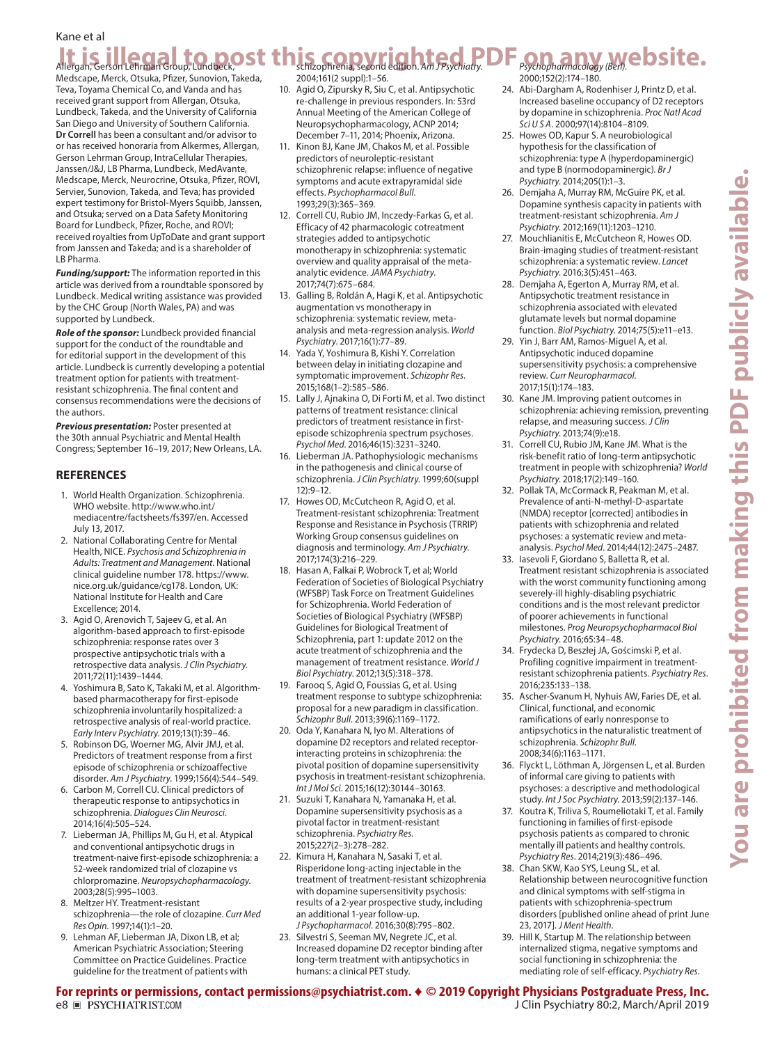## **It is illegael to post this copyrighted PDF** exchange we bsite. Kane et al *Psychopharmacology (Berl)*.

Medscape, Merck, Otsuka, Pfizer, Sunovion, Takeda, Teva, Toyama Chemical Co, and Vanda and has received grant support from Allergan, Otsuka, Lundbeck, Takeda, and the University of California San Diego and University of Southern California. **Dr Correll** has been a consultant and/or advisor to or has received honoraria from Alkermes, Allergan, Gerson Lehrman Group, IntraCellular Therapies, Janssen/J&J, LB Pharma, Lundbeck, MedAvante, Medscape, Merck, Neurocrine, Otsuka, Pfizer, ROVI, Servier, Sunovion, Takeda, and Teva; has provided expert testimony for Bristol-Myers Squibb, Janssen, and Otsuka; served on a Data Safety Monitoring Board for Lundbeck, Pfizer, Roche, and ROVI; received royalties from UpToDate and grant support from Janssen and Takeda; and is a shareholder of LB Pharma.

*Funding/support:* The information reported in this article was derived from a roundtable sponsored by Lundbeck. Medical writing assistance was provided by the CHC Group (North Wales, PA) and was supported by Lundbeck.

*Role of the sponsor:* Lundbeck provided financial support for the conduct of the roundtable and for editorial support in the development of this article. Lundbeck is currently developing a potential treatment option for patients with treatmentresistant schizophrenia. The final content and consensus recommendations were the decisions of the authors.

*Previous presentation:* Poster presented at the 30th annual Psychiatric and Mental Health Congress; September 16–19, 2017; New Orleans, LA.

#### **REFERENCES**

- 1. World Health Organization. Schizophrenia. WHO website. [http://www.who.int/](http://www.who.int/mediacentre/factsheets/fs397/en) [mediacentre/factsheets/fs397/en](http://www.who.int/mediacentre/factsheets/fs397/en). Accessed July 13, 2017.
- 2. National Collaborating Centre for Mental Health, NICE. *Psychosis and Schizophrenia in Adults: Treatment and Management*. National clinical guideline number 178. [https://www.](https://www.nice.org.uk/guidance/cg178) [nice.org.uk/guidance/cg178.](https://www.nice.org.uk/guidance/cg178) London, UK: National Institute for Health and Care Excellence; 2014.
- 3. Agid O, Arenovich T, Sajeev G, et al. An algorithm-based approach to first-episode schizophrenia: response rates over 3 prospective antipsychotic trials with a retrospective data analysis. *J Clin Psychiatry*. 2011:72(11):1439-1444.
- 4. Yoshimura B, Sato K, Takaki M, et al. Algorithmbased pharmacotherapy for first-episode schizophrenia involuntarily hospitalized: a retrospective analysis of real-world pra[c](https://doi.org/10.1111/eip.12531)tice. *Early Interv Psychiatry.* 2019;13(1):39-46.
- 5. Robinson DG, Woerner MG, Alvir JMJ, et al. Predictors of treatment response from a first episode of schizophrenia or schizoaffective disorder. Am J Psychiatry. 1999;156(4):544-549.
- 6. Carbon M, Correll CU. Clinical predictors of therapeutic response to antipsychotics in schizophrenia. *Dialogues Clin Neurosci*. 2014;16(4):505-524.
- 7. Lieberman JA, Phillips M, Gu H, et al. Atypical and conventional antipsychotic drugs in treatment-naive first-episode schizophrenia: a 52-week randomized trial of clozapine vs chlorpromazine. *Neuropsychopharmacology*. 2003:28(5):995-1003.
- 8. Meltzer HY. Treatment-resistant schizophrenia—the role of clozapine. *Curr Med Res Opin.* 1997;14(1):1-20.
- 9. Lehman AF, Lieberman JA, Dixon LB, et al; American Psychiatric Association; Steering Committee on Practice Guidelines. Practice guideline for the treatment of patients with

2004;161(2 suppl):1-56.

- 10. Agid O, Zipursky R, Siu C, et al. Antipsychotic re-challenge in previous responders. In: 53rd Annual Meeting of the American College of Neuropsychopharmacology, ACNP 2014; December 7–11, 2014; Phoenix, Arizona.
- 11. Kinon BJ, Kane JM, Chakos M, et al. Possible predictors of neuroleptic-resistant schizophrenic relapse: influence of negative symptoms and acute extrapyramidal side effects. *Psychopharmacol Bull*. 1993;29(3):365-369.
- 12. Correll CU, Rubio JM, Inczedy-Farkas G, et al. Efficacy of 42 pharmacologic cotreatment strategies added to antipsychotic monotherapy in schizophrenia: systematic overview and quality appraisal of the metaanalytic evidence. *JAMA Psychiatry*. 2017;74(7):675-684.
- 13. Galling B, Roldán A, Hagi K, et al. Antipsychotic augmentation vs monotherapy in schizophrenia: systematic review, metaanalysis and meta-regression analysis. *World Psychiatry.* 2017;16(1):77-89.
- 14. Yada Y, Yoshimura B, Kishi Y. Correlation between delay in initiating clozapine and symptomatic improvement. *Schizophr Res*.  $2015:168(1-2):585-586.$
- 15. Lally J, Ajnakina O, Di Forti M, et al. Two distinct patterns of treatment resistance: clinical predictors of treatment resistance in firstepisode schizophrenia spectrum psychoses. Psychol Med. 2016;46(15):3231-3240.
- 16. Lieberman JA. Pathophysiologic mechanisms in the pathogenesis and clinical course of schizophrenia. *J Clin Psychiatry*. 1999;60(suppl  $12:9-12.$
- 17. Howes OD, McCutcheon R, Agid O, et al. Treatment-resistant schizophrenia: Treatment Response and Resistance in Psychosis (TRRIP) Working Group consensus guidelines on diagnosis and terminology. *Am J Psychiatry*. 2017;174(3):216-229.
- 18. Hasan A, Falkai P, Wobrock T, et al; World Federation of Societies of Biological Psychiatry (WFSBP) Task Force on Treatment Guidelines for Schizophrenia. World Federation of Societies of Biological Psychiatry (WFSBP) Guidelines for Biological Treatment of Schizophrenia, part 1: update 2012 on the acute treatment of schizophrenia and the management of treatment resistance. *World J*  Biol Psychiatry. 2012;13(5):318-378.
- 19. Farooq S, Agid O, Foussias G, et al. Using treatment response to subtype schizophrenia: proposal for a new paradigm in classification. Schizophr Bull. 2013;39(6):1169-1172.
- 20. Oda Y, Kanahara N, Iyo M. Alterations of dopamine D2 receptors and related receptorinteracting proteins in schizophrenia: the pivotal position of dopamine supersensitivity psychosis in treatment-resistant schizophrenia. *Int J Mol Sci.* 2015:16(12):30144-30163.
- 21. Suzuki T, Kanahara N, Yamanaka H, et al. Dopamine supersensitivity psychosis as a pivotal factor in treatment-resistant schizophrenia. *Psychiat[r](https://doi.org/10.1016/j.psychres.2015.02.021)y Res*. 2015;227(2-3):278-282.
- 22. Kimura H, Kanahara N, Sasaki T, et al. Risperidone long-acting injectable in the treatment of treatment-resistant schizophrenia with dopamine supersensitivity psychosis: results of a 2-year prospective study, including an additional 1-year follow-up. *J Psychopharmacol.* 2016;30(8):795-802.
- 23. Silvestri S, Seeman MV, Negrete JC, et al. Increased dopamine D2 receptor binding after long-term treatment with antipsychotics in humans: a clinical PET study.

2000;152(2):174-180.

- 24. Abi-Dargham A, Rodenhiser J, Printz D, et al. Increased baseline occupancy of D2 receptors by dopamine in schizophrenia. *P[r](https://doi.org/10.1073/pnas.97.14.8104)oc Natl Acad Sci U S A.* 2000;97(14):8104-8109.
- 25. Howes OD, Kapur S. A neurobiological hypothesis for the classification of schizophrenia: type A (hyperdopaminergic) and type B (normodopaminergic). *Br J*  Psychiatry. 2014;205(1):1-3.
- 26. Demjaha A, Murray RM, McGuire PK, et al. Dopamine synthesis capacity in patients with treatment-resistant schizophrenia. *Am J Psychiatry.* 2012;169(11):1203-1210.
- 27. Mouchlianitis E, McCutcheon R, Howes OD. Brain-imaging studies of treatment-resistant schizophrenia: a systematic r[ev](https://doi.org/10.1016/S2215-0366(15)00540-4)iew. *Lancet Psychiatry.* 2016:3(5):451-463.
- 28. Demjaha A, Egerton A, Murray RM, et al. Antipsychotic treatment resistance in schizophrenia associated with elevated glutamate levels but normal dopamine function. *Biol Psychiatry*. 2014;75(5):e11-e13.
- 29. Yin J, Barr AM, Ramos-Miguel A, et al. Antipsychotic induced dopamine supersensitivity psychosis: a comprehensive review. *Curr Neuropharmacol*.  $2017:15(1):174-183.$
- 30. Kane JM. Improving patient outcomes in schizophrenia: achieving remission, preventing relapse, and measuring success. *J Clin Psychiatry.* 2013;74(9):e18.
- 31. Correll CU, Rubio JM, Kane JM. What is the risk-benefit ratio of long-term antipsychotic treatment in people with schizophrenia? *World*  Psychiatry. 2018;17(2):149-160.
- 32. Pollak TA, McCormack R, Peakman M, et al. Prevalence of anti-N-methyl-D-aspartate (NMDA) receptor [corrected] antibodies in patients with schizophrenia and related psychoses: a systematic review and metaanalysis. Psychol Med. 2014;44(12):2475-2487.
- 33. Iasevoli F, Giordano S, Balletta R, et al. Treatment resistant schizophrenia is associated with the worst community functioning among severely-ill highly-disabling psychiatric conditions and is the most relevant predictor of poorer achievements in functional milestones. *Prog Neuropsychopharmacol Biol*  Psychiatry. 2016;65:34-48.
- 34. Frydecka D, Beszłej JA, Gościmski P, et al. Profiling cognitive impairment in treatmentresistant schizophrenia patients. *Psychiatry Res*. 2016;235:133-138.
- 35. Ascher-Svanum H, Nyhuis AW, Faries DE, et al. Clinical, functional, and economic ramifications of early nonresponse to antipsychotics in the naturalistic treatment of schizophrenia. *Schizophr Bull*. 2008;34(6):1163-1171.
- 36. Flyckt L, Löthman A, Jörgensen L, et al. Burden of informal care giving to patients with psychoses: a descriptive and methodologica[l](https://doi.org/10.1177/0020764011427239)  study. Int J Soc Psychiatry. 2013;59(2):137-146.
- 37. Koutra K, Triliva S, Roumeliotaki T, et al. Family functioning in families of first-episode psychosis patients as compared to chronic mentally ill patients and healthy co[nt](https://doi.org/10.1016/j.psychres.2014.06.045)rols. Psychiatry Res. 2014;219(3):486-496.
- 38. Chan SKW, Kao SYS, Leung SL, et al. Relationship between neurocognitive function and clinical symptoms with self-stigma in patients with schizophrenia-spectrum disorders [published online ahead of print June 23, 2017]. *J Ment Health*.
- 39. Hill K, Startup M. The relationship between internalized stigma, negative symptoms and social functioning in schizophrenia: the mediating role of self-efficacy. *Psychiatry Res*.